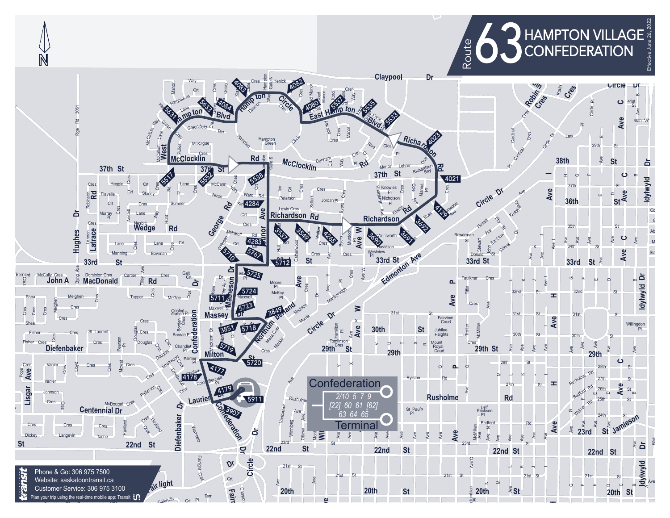